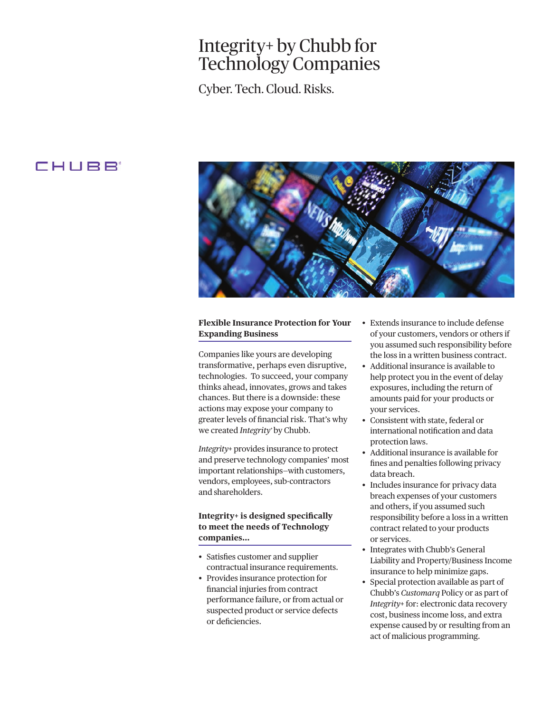# Integrity+ by Chubb for Technology Companies

Cyber. Tech. Cloud. Risks.

# CHUBB'



## **Flexible Insurance Protection for Your Expanding Business**

Companies like yours are developing transformative, perhaps even disruptive, technologies. To succeed, your company thinks ahead, innovates, grows and takes chances. But there is a downside: these actions may expose your company to greater levels of fnancial risk. That's why we created *Integrity+* by Chubb.

 and shareholders. *Integrity+* provides insurance to protect and preserve technology companies' most important relationships—with customers, vendors, employees, sub-contractors

## **Integrity+ is designed specifcally to meet the needs of Technology companies…**

- Satisfies customer and supplier contractual insurance requirements.
- • Provides insurance protection for fnancial injuries from contract performance failure, or from actual or suspected product or service defects or deficiencies.
- • Extends insurance to include defense of your customers, vendors or others if you assumed such responsibility before the loss in a written business contract.
- your services. • Additional insurance is available to help protect you in the event of delay exposures, including the return of amounts paid for your products or
- • Consistent with state, federal or international notifcation and data protection laws.
- • Additional insurance is available for fnes and penalties following privacy data breach.
- • Includes insurance for privacy data breach expenses of your customers and others, if you assumed such responsibility before a loss in a written contract related to your products or services.
- insurance to help minimize gaps. • Integrates with Chubb's General Liability and Property/Business Income
- Special protection available as part of Chubb's *Customarq* Policy or as part of *Integrity+* for: electronic data recovery cost, business income loss, and extra expense caused by or resulting from an act of malicious programming.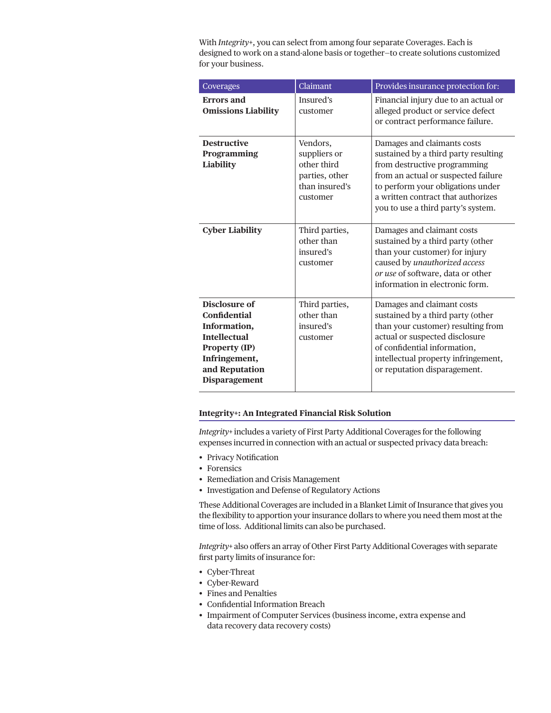With *Integrity+*, you can select from among four separate Coverages. Each is designed to work on a stand-alone basis or together—to create solutions customized for your business.

| Coverages                                                                                                                                                      | Claimant                                                                                | Provides insurance protection for:                                                                                                                                                                                                                          |
|----------------------------------------------------------------------------------------------------------------------------------------------------------------|-----------------------------------------------------------------------------------------|-------------------------------------------------------------------------------------------------------------------------------------------------------------------------------------------------------------------------------------------------------------|
| <b>Errors</b> and<br><b>Omissions Liability</b>                                                                                                                | Insured's<br>customer                                                                   | Financial injury due to an actual or<br>alleged product or service defect<br>or contract performance failure.                                                                                                                                               |
| <b>Destructive</b><br>Programming<br>Liability                                                                                                                 | Vendors,<br>suppliers or<br>other third<br>parties, other<br>than insured's<br>customer | Damages and claimants costs<br>sustained by a third party resulting<br>from destructive programming<br>from an actual or suspected failure<br>to perform your obligations under<br>a written contract that authorizes<br>you to use a third party's system. |
| <b>Cyber Liability</b>                                                                                                                                         | Third parties,<br>other than<br>insured's<br>customer                                   | Damages and claimant costs<br>sustained by a third party (other<br>than your customer) for injury<br>caused by unauthorized access<br>or use of software, data or other<br>information in electronic form.                                                  |
| Disclosure of<br><b>Confidential</b><br>Information,<br><b>Intellectual</b><br><b>Property (IP)</b><br>Infringement,<br>and Reputation<br><b>Disparagement</b> | Third parties,<br>other than<br>insured's<br>customer                                   | Damages and claimant costs<br>sustained by a third party (other<br>than your customer) resulting from<br>actual or suspected disclosure<br>of confidential information,<br>intellectual property infringement,<br>or reputation disparagement.              |

#### **Integrity+: An Integrated Financial Risk Solution**

*Integrity+* includes a variety of First Party Additional Coverages for the following expenses incurred in connection with an actual or suspected privacy data breach:

- Privacy Notification
- Forensics
- Remediation and Crisis Management
- • Investigation and Defense of Regulatory Actions

These Additional Coverages are included in a Blanket Limit of Insurance that gives you the fexibility to apportion your insurance dollars to where you need them most at the time of loss. Additional limits can also be purchased.

*Integrity+* also offers an array of Other First Party Additional Coverages with separate frst party limits of insurance for:

- Cyber-Threat
- Cyber-Reward
- • Fines and Penalties
- Confidential Information Breach
- Impairment of Computer Services (business income, extra expense and data recovery data recovery costs)